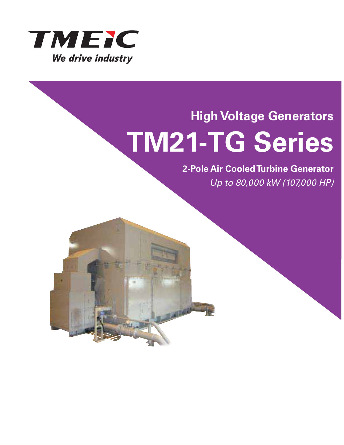

### **High Voltage Generators TM21-TG Series**

### **2-Pole Air Cooled Turbine Generator**

Up to 80,000 kW (107,000 HP)

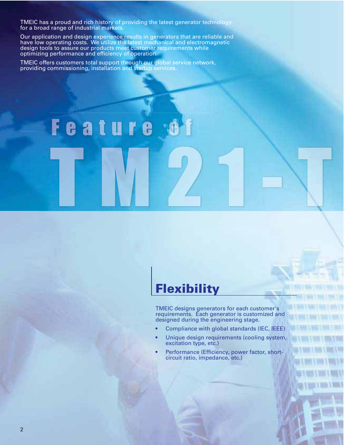TMEIC has a proud and rich history of providing the latest generator technology for a broad range of industrial markets.

Our application and design experience results in generators that are reliable and have low operating costs. We utilize the latest mechanical and electromagnetic design tools to assure our products meet customer requirements while optimizing performance and efficiency of operation.

TMEIC offers customers total support through our global service network, providing commissioning, installation and startup services.

Feature

### **Flexibility**

TMEIC designs generators for each customer's requirements. Each generator is customized and designed during the engineering stage.

- Compliance with global standards (IEC, IEEE)
- Unique design requirements (cooling system, excitation type, etc.)
- Performance (Efficiency, power factor, shortcircuit ratio, impedance, etc.)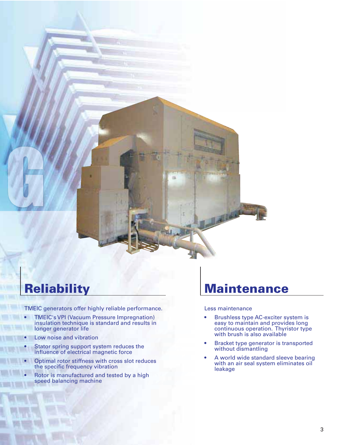

### **Reliability**

TMEIC generators offer highly reliable performance.

- TMEIC's VPI (Vacuum Pressure Impregnation) insulation technique is standard and results in longer generator life
- Low noise and vibration
- Stator spring support system reduces the influence of electrical magnetic force
- Optimal rotor stiffness with cross slot reduces the specific frequency vibration
- Rotor is manufactured and tested by a high speed balancing machine

### **Maintenance**

#### Less maintenance

- Brushless type AC-exciter system is easy to maintain and provides long continuous operation. Thyristor type with brush is also available
- Bracket type generator is transported without dismantling
- A world wide standard sleeve bearing with an air seal system eliminates oil leakage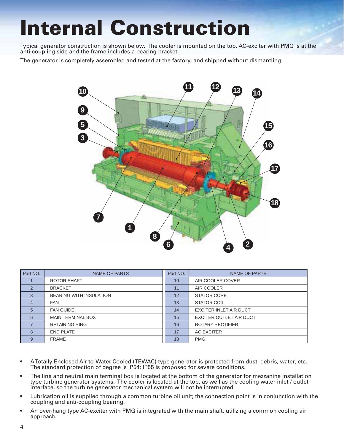### **Internal Construction**

Typical generator construction is shown below. The cooler is mounted on the top, AC-exciter with PMG is at the anti-coupling side and the frame includes a bearing bracket.

The generator is completely assembled and tested at the factory, and shipped without dismantling.



| Part NO.       | <b>NAME OF PARTS</b>           | Part NO. | <b>NAME OF PARTS</b>           |
|----------------|--------------------------------|----------|--------------------------------|
|                | ROTOR SHAFT                    | 10       | AIR COOLER COVER               |
| $\mathcal{P}$  | <b>BRACKET</b>                 | 11       | AIR COOLER                     |
| 3              | <b>BEARING WITH INSULATION</b> | 12       | <b>STATOR CORE</b>             |
| $\overline{4}$ | <b>FAN</b>                     | 13       | <b>STATOR COIL</b>             |
| 5              | <b>FAN GUIDE</b>               | 14       | EXCITER INLET AIR DUCT         |
| 6              | <b>MAIN TERMINAL BOX</b>       | 15       | <b>EXCITER OUTLET AIR DUCT</b> |
|                | <b>RETAINING RING</b>          | 16       | <b>ROTARY RECTIFIER</b>        |
| 8              | <b>END PLATE</b>               | 17       | AC.EXCITER                     |
| 9              | <b>FRAME</b>                   | 18       | <b>PMG</b>                     |

- A Totally Enclosed Air-to-Water-Cooled (TEWAC) type generator is protected from dust, debris, water, etc. The standard protection of degree is IP54; IP55 is proposed for severe conditions.
- The line and neutral main terminal box is located at the bottom of the generator for mezzanine installation type turbine generator systems. The cooler is located at the top, as well as the cooling water inlet / outlet interface, so the turbine generator mechanical system will not be interrupted.
- Lubrication oil is supplied through a common turbine oil unit; the connection point is in conjunction with the coupling and anti-coupling bearing.
- An over-hang type AC-exciter with PMG is integrated with the main shaft, utilizing a common cooling air approach.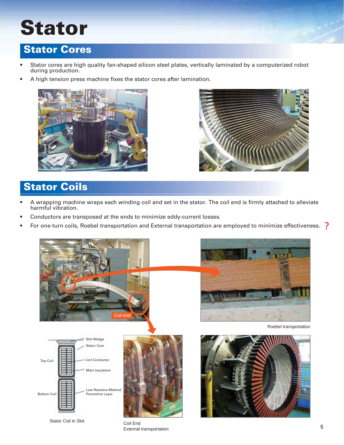# **Stator**

#### **Stator Cores**

- Stator cores are high quality fan-shaped silicon steel plates, vertically laminated by a computerized robot during production.
- A high tension press machine fixes the stator cores after lamination.





### **Stator Coils**

- A wrapping machine wraps each winding coil and set in the stator. The coil end is firmly attached to alleviate harmful vibration.
- Conductors are transposed at the ends to minimize eddy-current losses.
- $\bullet$  For one-turn coils, Roebel transportation and External transportation are employed to minimize effectiveness.  $\,$   $\,$



Stator Coil in Slot Coil End

External transportation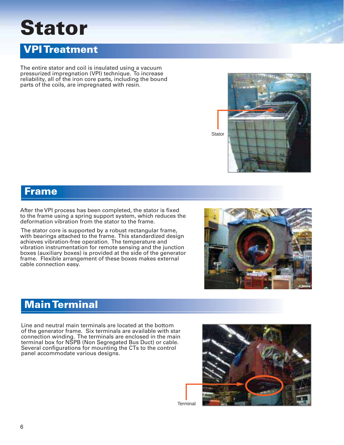# **Stator**



The entire stator and coil is insulated using a vacuum pressurized impregnation (VPI) technique. To increase reliability, all of the iron core parts, including the bound parts of the coils, are impregnated with resin.



**Frame**

After the VPI process has been completed, the stator is fixed to the frame using a spring support system, which reduces the deformation vibration from the stator to the frame.

 The stator core is supported by a robust rectangular frame, with bearings attached to the frame. This standardized design achieves vibration-free operation. The temperature and vibration instrumentation for remote sensing and the junction boxes (auxiliary boxes) is provided at the side of the generator frame. Flexible arrangement of these boxes makes external cable connection easy.



#### **Main Terminal**

Line and neutral main terminals are located at the bottom of the generator frame. Six terminals are available with star connection winding. The terminals are enclosed in the main terminal box for NSPB (Non Segregated Bus Duct) or cable. Several configurations for mounting the CTs to the control panel accommodate various designs.



**Terminal**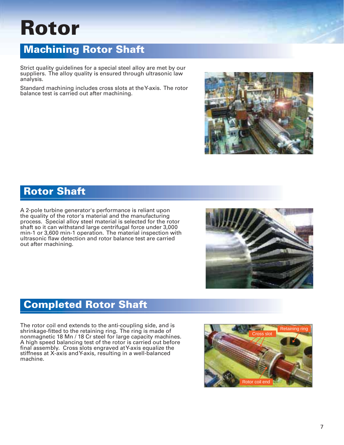### **Rotor**

#### **Machining Rotor Shaft**

Strict quality guidelines for a special steel alloy are met by our suppliers. The alloy quality is ensured through ultrasonic law analysis.

Standard machining includes cross slots at the Y-axis. The rotor balance test is carried out after machining.



#### **Rotor Shaft**

A 2-pole turbine generator's performance is reliant upon the quality of the rotor's material and the manufacturing process. Special alloy steel material is selected for the rotor shaft so it can withstand large centrifugal force under 3,000 min-1 or 3,600 min-1 operation. The material inspection with ultrasonic flaw detection and rotor balance test are carried out after machining.



#### **Completed Rotor Shaft**

The rotor coil end extends to the anti-coupling side, and is shrinkage-fitted to the retaining ring. The ring is made of nonmagnetic 18 Mn / 18 Cr steel for large capacity machines. A high speed balancing test of the rotor is carried out before final assembly. Cross slots engraved at Y-axis equalize the stiffness at X-axis and Y-axis, resulting in a well-balanced machine.

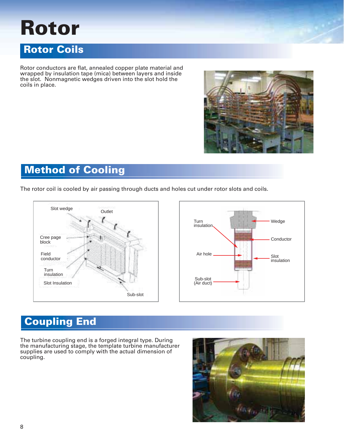### **Rotor**

#### **Rotor Coils**

Rotor conductors are flat, annealed copper plate material and wrapped by insulation tape (mica) between layers and inside the slot. Nonmagnetic wedges driven into the slot hold the coils in place.



### **Method of Cooling**

The rotor coil is cooled by air passing through ducts and holes cut under rotor slots and coils.





### **Coupling End**

The turbine coupling end is a forged integral type. During the manufacturing stage, the template turbine manufacturer supplies are used to comply with the actual dimension of coupling.

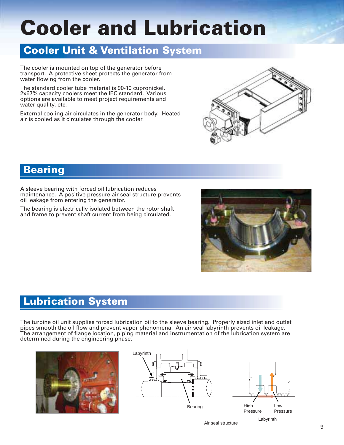# **Cooler and Lubrication**

#### **Cooler Unit & Ventilation System**

The cooler is mounted on top of the generator before transport. A protective sheet protects the generator from water flowing from the cooler.

The standard cooler tube material is 90-10 cupronickel, 2x67% capacity coolers meet the IEC standard. Various options are available to meet project requirements and water quality, etc.

External cooling air circulates in the generator body. Heated air is cooled as it circulates through the cooler.



#### **Bearing**

A sleeve bearing with forced oil lubrication reduces maintenance. A positive pressure air seal structure prevents oil leakage from entering the generator.

The bearing is electrically isolated between the rotor shaft and frame to prevent shaft current from being circulated.



#### **Lubrication System**

The turbine oil unit supplies forced lubrication oil to the sleeve bearing. Properly sized inlet and outlet pipes smooth the oil flow and prevent vapor phenomena. An air seal labyrinth prevents oil leakage. The arrangement of flange location, piping material and instrumentation of the lubrication system are determined during the engineering phase.





Air seal structure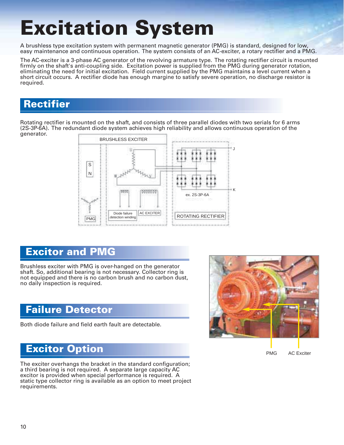# **Excitation System**

A brushless type excitation system with permanent magnetic generator (PMG) is standard, designed for low, easy maintenance and continuous operation. The system consists of an AC-exciter, a rotary rectifier and a PMG.

The AC-exciter is a 3-phase AC generator of the revolving armature type. The rotating rectifier circuit is mounted firmly on the shaft's anti-coupling side. Excitation power is supplied from the PMG during generator rotation, eliminating the need for initial excitation. Field current supplied by the PMG maintains a level current when a short circuit occurs. A rectifier diode has enough margine to satisfy severe operation, no discharge resistor is required.

#### **Rectifier**

Rotating rectifier is mounted on the shaft, and consists of three parallel diodes with two serials for 6 arms (2S-3P-6A). The redundant diode system achieves high reliability and allows continuous operation of the generator.



#### **Excitor and PMG**

Brushless exciter with PMG is over-hanged on the generator shaft. So, additional bearing is not necessary. Collector ring is not equipped and there is no carbon brush and no carbon dust, no daily inspection is required.

#### **Failure Detector**

Both diode failure and field earth fault are detectable.



#### PMG AC Exciter

#### **Excitor Option**

The exciter overhangs the bracket in the standard configuration; a third bearing is not required. A separate large capacity AC excitor is provided when special performance is required. A static type collector ring is available as an option to meet project requirements.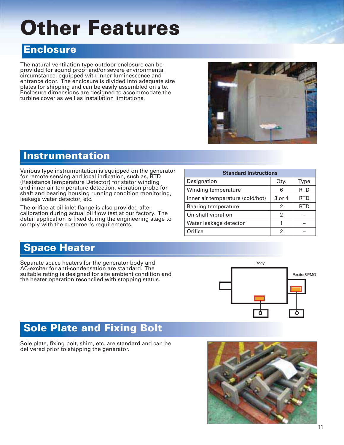### **Other** Feature**s**

#### **Enclosure**

The natural ventilation type outdoor enclosure can be provided for sound proof and/or severe environmental circumstance, equipped with inner luminescence and entrance door. The enclosure is divided into adequate size plates for shipping and can be easily assembled on site. Enclosure dimensions are designed to accommodate the turbine cover as well as installation limitations.



#### **Instrumentation**

Various type instrumentation is equipped on the generator for remote sensing and local indication, such as, RTD (Resistance Temperature Detector) for stator winding and inner air temperature detection, vibration probe for shaft and bearing housing running condition monitoring, leakage water detector, etc.

The orifice at oil inlet flange is also provided after calibration during actual oil flow test at our factory. The detail application is fixed during the engineering stage to comply with the customer's requirements.

| <b>Standard Instructions</b>     |        |            |  |
|----------------------------------|--------|------------|--|
| Designation                      | Otv.   | Type       |  |
| Winding temperature              | 6      | <b>RTD</b> |  |
| Inner air temperature (cold/hot) | 3 or 4 | <b>RTD</b> |  |
| Bearing temperature              | 2      | RID        |  |
| On-shaft vibration               | 2      |            |  |
| Water leakage detector           |        |            |  |
| Orifice                          |        |            |  |

#### **Space Heater**

Separate space heaters for the generator body and AC-exciter for anti-condensation are standard. The suitable rating is designed for site ambient condition and the heater operation reconciled with stopping status.



#### **Sole Plate and Fixing Bolt**

Sole plate, fixing bolt, shim, etc. are standard and can be delivered prior to shipping the generator.

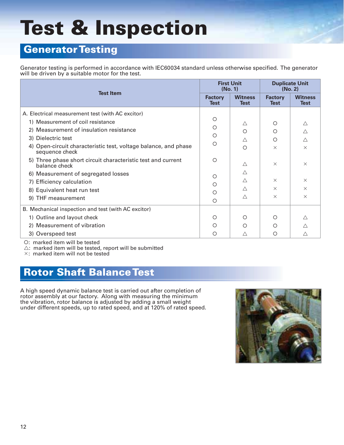# **Test & Inspection**

#### **Generator Testing**

Generator testing is performed in accordance with IEC60034 standard unless otherwise specified. The generator will be driven by a suitable motor for the test.

| <b>Test Item</b>                                                                  |         | <b>First Unit</b><br>(No. 1)  |                               | <b>Duplicate Unit</b><br>(No. 2) |  |
|-----------------------------------------------------------------------------------|---------|-------------------------------|-------------------------------|----------------------------------|--|
|                                                                                   |         | <b>Witness</b><br><b>Test</b> | <b>Factory</b><br><b>Test</b> | <b>Witness</b><br><b>Test</b>    |  |
| A. Electrical measurement test (with AC excitor)                                  |         |                               |                               |                                  |  |
| 1) Measurement of coil resistance                                                 | O       | Δ                             | ∩                             | Δ                                |  |
| 2) Measurement of insulation resistance                                           | ◯       | ◯                             | $\circ$                       | Δ                                |  |
| 3) Dielectric test                                                                | $\circ$ | Δ                             | ◯                             | $\triangle$                      |  |
| 4) Open-circuit characteristic test, voltage balance, and phase<br>sequence check | $\circ$ | $\bigcirc$                    | $\times$                      | $\times$                         |  |
| 5) Three phase short circuit characteristic test and current<br>balance check     | O       | $\wedge$                      | $\times$                      | $\times$                         |  |
| 6) Measurement of segregated losses                                               | O       | $\wedge$                      |                               |                                  |  |
| 7) Efficiency calculation                                                         | ◯       | $\wedge$                      | $\times$                      | $\times$                         |  |
| 8) Equivalent heat run test                                                       | O       | $\wedge$                      | $\times$                      | $\times$                         |  |
| 9) THF measurement                                                                | $\circ$ | Δ                             | $\times$                      | $\times$                         |  |
| B. Mechanical inspection and test (with AC excitor)                               |         |                               |                               |                                  |  |
| 1) Outline and layout check                                                       | O       | O                             | O                             |                                  |  |
| 2) Measurement of vibration                                                       | ∩       | ∩                             | ∩                             |                                  |  |
| 3) Overspeed test                                                                 | O       | Δ                             | O                             |                                  |  |

: marked item will be tested

 $\triangle$ : marked item will be tested, report will be submitted

: marked item will not be tested

#### **Rotor Shaft Balance Test**

A high speed dynamic balance test is carried out after completion of rotor assembly at our factory. Along with measuring the minimum the vibration, rotor balance is adjusted by adding a small weight under different speeds, up to rated speed, and at 120% of rated speed.

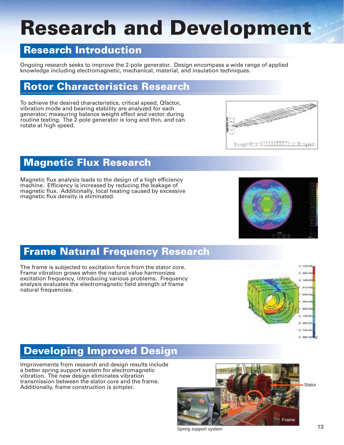### **Research and Development**

#### **Research Introduction**

Ongoing research seeks to improve the 2-pole generator. Design encompass a wide range of applied knowledge including electromagnetic, mechanical, material, and insulation techniques.

#### **Rotor Characteristics Research**

To achieve the desired characteristics, critical speed, Qfactor, vibration mode and bearing stability are analyzed for each generator, measuring balance weight effect and vector during routine testing. The 2-pole generator is long and thin, and can rotate at high speed.



#### **Magnetic Flux Research**

Magnetic flux analysis leads to the design of a high efficiency machine. Efficiency is increased by reducing the leakage of magnetic flux. Additionally, local heating caused by excessive magnetic flux density is eliminated.

#### **Frame Natural Frequency Research**

The frame is subjected to excitation force from the stator core. Frame vibration grows when the natural value harmonizes excitation frequency, introducing various problems. Frequency analysis evaluates the electromagnetic field strength of frame natural frequencies.



#### **Developing Improved Design**

Improvements from research and design results include a better spring support system for electromagnetic vibration. The new design eliminates vibration transmission between the stator core and the frame. Additionally, frame construction is simpler.



Spring support system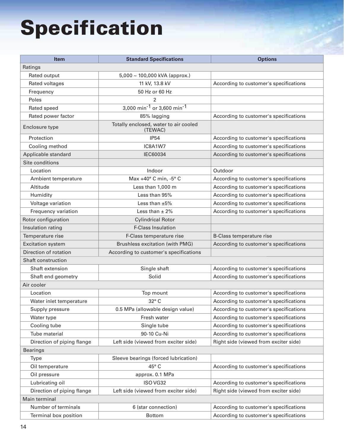# **Specification**

| <b>Item</b>                | <b>Standard Specifications</b>                     | <b>Options</b>                         |  |  |  |
|----------------------------|----------------------------------------------------|----------------------------------------|--|--|--|
| Ratings                    |                                                    |                                        |  |  |  |
| Rated output               | $5,000 \sim 100,000$ kVA (approx.)                 |                                        |  |  |  |
| Rated voltages             | 11 kV, 13.8 kV                                     | According to customer's specifications |  |  |  |
| Frequency                  | 50 Hz or 60 Hz                                     |                                        |  |  |  |
| Poles                      | $\mathfrak{p}$                                     |                                        |  |  |  |
| Rated speed                | 3,000 min <sup>-1</sup> or 3,600 min <sup>-1</sup> |                                        |  |  |  |
| Rated power factor         | 85% lagging                                        | According to customer's specifications |  |  |  |
| Enclosure type             | Totally enclosed, water to air cooled<br>(TEWAC)   |                                        |  |  |  |
| Protection                 | <b>IP54</b>                                        | According to customer's specifications |  |  |  |
| Cooling method             | IC8A1W7                                            | According to customer's specifications |  |  |  |
| Applicable standard        | <b>IEC60034</b>                                    | According to customer's specifications |  |  |  |
| Site conditions            |                                                    |                                        |  |  |  |
| Location                   | Indoor                                             | Outdoor                                |  |  |  |
| Ambient temperature        | Max +40° C min, -5° C                              | According to customer's specifications |  |  |  |
| Altitude                   | Less than 1,000 m                                  | According to customer's specifications |  |  |  |
| Humidity                   | Less than 95%                                      | According to customer's specifications |  |  |  |
| Voltage variation          | Less than $\pm 5\%$                                | According to customer's specifications |  |  |  |
| Frequency variation        | Less than $\pm$ 2%                                 | According to customer's specifications |  |  |  |
| Rotor configuration        | <b>Cylindrical Rotor</b>                           |                                        |  |  |  |
| Insulation rating          | F-Class Insulation                                 |                                        |  |  |  |
| Temperature rise           | F-Class temperature rise                           | <b>B-Class temperature rise</b>        |  |  |  |
| <b>Excitation system</b>   | Brushless excitation (with PMG)                    | According to customer's specifications |  |  |  |
| Direction of rotation      | According to customer's specifications             |                                        |  |  |  |
| <b>Shaft construction</b>  |                                                    |                                        |  |  |  |
| Shaft extension            | Single shaft                                       | According to customer's specifications |  |  |  |
| Shaft end geometry         | Solid                                              | According to customer's specifications |  |  |  |
| Air cooler                 |                                                    |                                        |  |  |  |
| Location                   | Top mount                                          | According to customer's specifications |  |  |  |
| Water inlet temperature    | 32° C                                              | According to customer's specifications |  |  |  |
| Supply pressure            | 0.5 MPa (allowable design value)                   | According to customer's specifications |  |  |  |
| Water type                 | Fresh water                                        | According to customer's specifications |  |  |  |
| Cooling tube               | Single tube                                        | According to customer's specifications |  |  |  |
| Tube material              | 90-10 Cu-Ni                                        | According to customer's specifications |  |  |  |
| Direction of piping flange | Left side (viewed from exciter side)               | Right side (viewed from exciter side)  |  |  |  |
| <b>Bearings</b>            |                                                    |                                        |  |  |  |
| Type                       | Sleeve bearings (forced lubrication)               |                                        |  |  |  |
| Oil temperature            | 45° C                                              | According to customer's specifications |  |  |  |
| Oil pressure               | approx. 0.1 MPa                                    |                                        |  |  |  |
| Lubricating oil            | ISO VG32                                           | According to customer's specifications |  |  |  |
| Direction of piping flange | Left side (viewed from exciter side)               | Right side (viewed from exciter side)  |  |  |  |
| Main terminal              |                                                    |                                        |  |  |  |
| Number of terminals        | 6 (star connection)                                | According to customer's specifications |  |  |  |
| Terminal box position      | <b>Bottom</b>                                      | According to customer's specifications |  |  |  |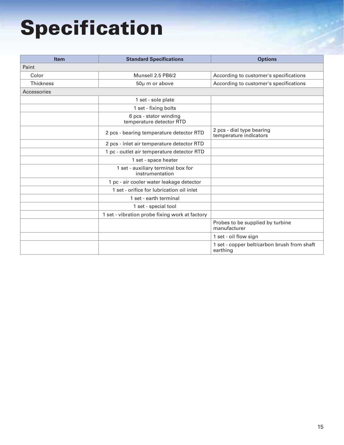## **Specification**

| <b>Item</b>      | <b>Standard Specifications</b>                        | <b>Options</b>                                          |
|------------------|-------------------------------------------------------|---------------------------------------------------------|
| Paint            |                                                       |                                                         |
| Color            | Munsell 2.5 PB6/2                                     | According to customer's specifications                  |
| <b>Thickness</b> | 50µ m or above                                        | According to customer's specifications                  |
| Accessories      |                                                       |                                                         |
|                  | 1 set - sole plate                                    |                                                         |
|                  | 1 set - fixing bolts                                  |                                                         |
|                  | 6 pcs - stator winding<br>temperature detector RTD    |                                                         |
|                  | 2 pcs - bearing temperature detector RTD              | 2 pcs - dial type bearing<br>temperature indicators     |
|                  | 2 pcs - inlet air temperature detector RTD            |                                                         |
|                  | 1 pc - outlet air temperature detector RTD            |                                                         |
|                  | 1 set - space heater                                  |                                                         |
|                  | 1 set - auxiliary terminal box for<br>instrumentation |                                                         |
|                  | 1 pc - air cooler water leakage detector              |                                                         |
|                  | 1 set - orifice for lubrication oil inlet             |                                                         |
|                  | 1 set - earth terminal                                |                                                         |
|                  | 1 set - special tool                                  |                                                         |
|                  | 1 set - vibration probe fixing work at factory        |                                                         |
|                  |                                                       | Probes to be supplied by turbine<br>manufacturer        |
|                  |                                                       | 1 set - oil flow sign                                   |
|                  |                                                       | 1 set - copper belt/carbon brush from shaft<br>earthing |